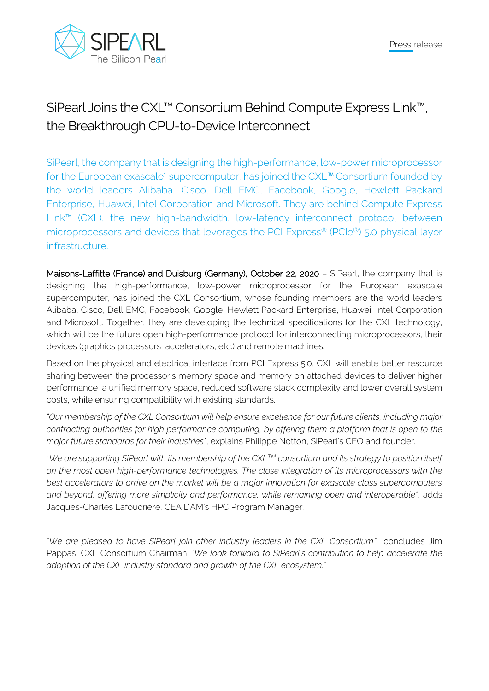

## SiPearl Joins the CXL™ Consortium Behind Compute Express Link™, the Breakthrough CPU-to-Device Interconnect

SiPearl, the company that is designing the high-performance, low-power microprocessor for the European exascale<sup>1</sup> supercomputer, has joined the CXL<sup>™</sup> Consortium founded by the world leaders Alibaba, Cisco, Dell EMC, Facebook, Google, Hewlett Packard Enterprise, Huawei, Intel Corporation and Microsoft. They are behind Compute Express Link™ (CXL), the new high-bandwidth, low-latency interconnect protocol between microprocessors and devices that leverages the PCI Express® (PCIe®) 5.0 physical layer infrastructure.

Maisons-Laffitte (France) and Duisburg (Germany), October 22, 2020 - SiPearl, the company that is designing the high-performance, low-power microprocessor for the European exascale supercomputer, has joined the CXL Consortium, whose founding members are the world leaders Alibaba, Cisco, Dell EMC, Facebook, Google, Hewlett Packard Enterprise, Huawei, Intel Corporation and Microsoft. Together, they are developing the technical specifications for the CXL technology, which will be the future open high-performance protocol for interconnecting microprocessors, their devices (graphics processors, accelerators, etc.) and remote machines.

Based on the physical and electrical interface from PCI Express 5.0, CXL will enable better resource sharing between the processor's memory space and memory on attached devices to deliver higher performance, a unified memory space, reduced software stack complexity and lower overall system costs, while ensuring compatibility with existing standards.

*"Our membership of the CXL Consortium will help ensure excellence for our future clients, including major contracting authorities for high performance computing, by offering them a platform that is open to the major future standards for their industries"*, explains Philippe Notton, SiPearl's CEO and founder.

"*We are supporting SiPearl with its membership of the CXLTM consortium and its strategy to position itself on the most open high-performance technologies. The close integration of its microprocessors with the best accelerators to arrive on the market will be a major innovation for exascale class supercomputers and beyond, offering more simplicity and performance, while remaining open and interoperable"*, adds Jacques-Charles Lafoucrière, CEA DAM's HPC Program Manager.

*"We are pleased to have SiPearl join other industry leaders in the CXL Consortium"* concludes Jim Pappas, CXL Consortium Chairman. *"We look forward to SiPearl's contribution to help accelerate the adoption of the CXL industry standard and growth of the CXL ecosystem."*